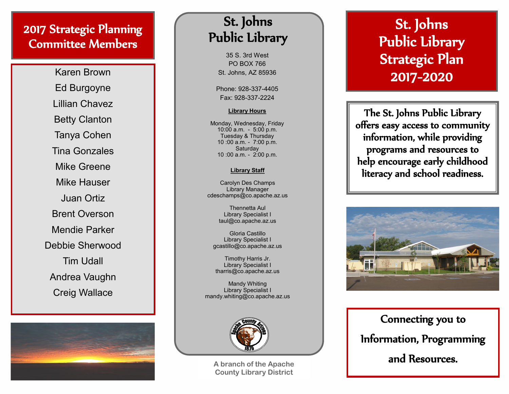### 2017 Strategic Planning Committee Members

Karen Brown Ed Burgoyne Lillian Chavez Betty Clanton Tanya Cohen Tina Gonzales Mike Greene Mike Hauser Juan Ortiz Brent Overson Mendie Parker Debbie Sherwood Tim Udall Andrea Vaughn Creig Wallace



## St. Johns Public Library

35 S. 3rd West PO BOX 766 St. Johns, AZ 85936

Phone: 928 -337 -4405 Fax: 928 -337 -2224

### **Library Hours**

Monday, Wednesday, Friday 10:00 a.m. - 5:00 p.m. Tuesday & Thursday 10 :00 a.m. - 7:00 p.m. **Saturday** 10 :00 a.m. - 2:00 p.m.

### **Library Staff**

Carolyn Des Champs Library Manager cdeschamps@co.apache.az.us

> Thennetta Aul Library Specialist I taul@co.apache.az.us

Gloria Castillo Library Specialist I gcastillo@co.apache.az.us

Timothy Harris Jr. Library Specialist I tharris@co.apache.az.us

Mandy Whiting Library Specialist I mandy.whiting@co.apache.az.us



**A branch of the Apache County Library District**

# St. Johns Public Library Strategic Plan 2017 -2020

The St. Johns Public Library offers easy access to community information, while providing programs and resources to help encourage early childhood literacy and school readiness.